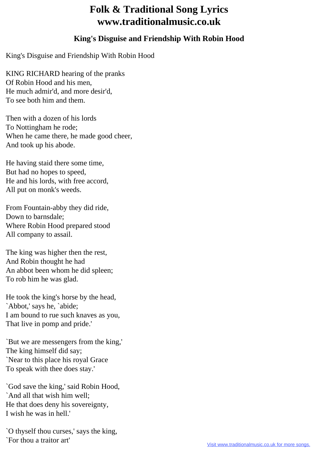## **Folk & Traditional Song Lyrics www.traditionalmusic.co.uk**

## **King's Disguise and Friendship With Robin Hood**

King's Disguise and Friendship With Robin Hood

KING RICHARD hearing of the pranks Of Robin Hood and his men, He much admir'd, and more desir'd, To see both him and them.

Then with a dozen of his lords To Nottingham he rode; When he came there, he made good cheer, And took up his abode.

He having staid there some time, But had no hopes to speed, He and his lords, with free accord, All put on monk's weeds.

From Fountain-abby they did ride, Down to barnsdale; Where Robin Hood prepared stood All company to assail.

The king was higher then the rest, And Robin thought he had An abbot been whom he did spleen; To rob him he was glad.

He took the king's horse by the head, `Abbot,' says he, `abide; I am bound to rue such knaves as you, That live in pomp and pride.'

`But we are messengers from the king,' The king himself did say; `Near to this place his royal Grace To speak with thee does stay.'

`God save the king,' said Robin Hood, `And all that wish him well; He that does deny his sovereignty, I wish he was in hell.'

`O thyself thou curses,' says the king, `For thou a traitor art'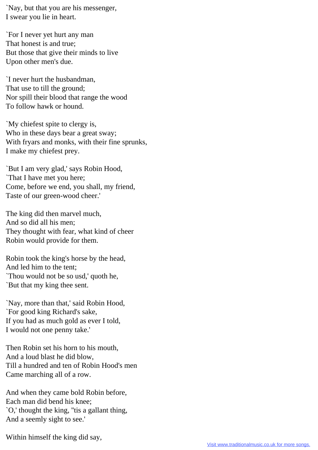`Nay, but that you are his messenger, I swear you lie in heart.

`For I never yet hurt any man That honest is and true; But those that give their minds to live Upon other men's due.

`I never hurt the husbandman, That use to till the ground; Nor spill their blood that range the wood To follow hawk or hound.

`My chiefest spite to clergy is, Who in these days bear a great sway; With fryars and monks, with their fine sprunks, I make my chiefest prey.

`But I am very glad,' says Robin Hood, `That I have met you here; Come, before we end, you shall, my friend, Taste of our green-wood cheer.'

The king did then marvel much, And so did all his men; They thought with fear, what kind of cheer Robin would provide for them.

Robin took the king's horse by the head, And led him to the tent; `Thou would not be so usd,' quoth he, `But that my king thee sent.

`Nay, more than that,' said Robin Hood, `For good king Richard's sake, If you had as much gold as ever I told, I would not one penny take.'

Then Robin set his horn to his mouth, And a loud blast he did blow, Till a hundred and ten of Robin Hood's men Came marching all of a row.

And when they came bold Robin before, Each man did bend his knee; `O,' thought the king, ''tis a gallant thing, And a seemly sight to see.'

Within himself the king did say,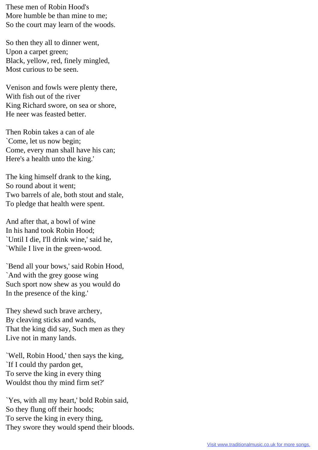These men of Robin Hood's More humble be than mine to me; So the court may learn of the woods.

So then they all to dinner went, Upon a carpet green; Black, yellow, red, finely mingled, Most curious to be seen.

Venison and fowls were plenty there, With fish out of the river King Richard swore, on sea or shore, He neer was feasted better.

Then Robin takes a can of ale `Come, let us now begin; Come, every man shall have his can; Here's a health unto the king.'

The king himself drank to the king, So round about it went; Two barrels of ale, both stout and stale, To pledge that health were spent.

And after that, a bowl of wine In his hand took Robin Hood; `Until I die, I'll drink wine,' said he, `While I live in the green-wood.

`Bend all your bows,' said Robin Hood, `And with the grey goose wing Such sport now shew as you would do In the presence of the king.'

They shewd such brave archery, By cleaving sticks and wands, That the king did say, Such men as they Live not in many lands.

`Well, Robin Hood,' then says the king, `If I could thy pardon get, To serve the king in every thing Wouldst thou thy mind firm set?'

`Yes, with all my heart,' bold Robin said, So they flung off their hoods; To serve the king in every thing, They swore they would spend their bloods.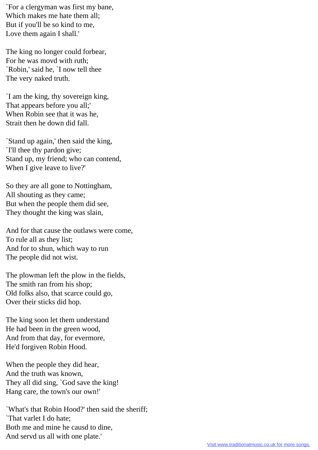`For a clergyman was first my bane, Which makes me hate them all; But if you'll be so kind to me, Love them again I shall.'

The king no longer could forbear, For he was movd with ruth; `Robin,' said he, `I now tell thee The very naked truth.

`I am the king, thy sovereign king, That appears before you all;' When Robin see that it was he, Strait then he down did fall.

`Stand up again,' then said the king, `I'll thee thy pardon give; Stand up, my friend; who can contend, When I give leave to live?'

So they are all gone to Nottingham, All shouting as they came; But when the people them did see, They thought the king was slain,

And for that cause the outlaws were come, To rule all as they list; And for to shun, which way to run The people did not wist.

The plowman left the plow in the fields, The smith ran from his shop; Old folks also, that scarce could go, Over their sticks did hop.

The king soon let them understand He had been in the green wood, And from that day, for evermore, He'd forgiven Robin Hood.

When the people they did hear, And the truth was known, They all did sing, `God save the king! Hang care, the town's our own!'

`What's that Robin Hood?' then said the sheriff; `That varlet I do hate; Both me and mine he causd to dine, And servd us all with one plate.'